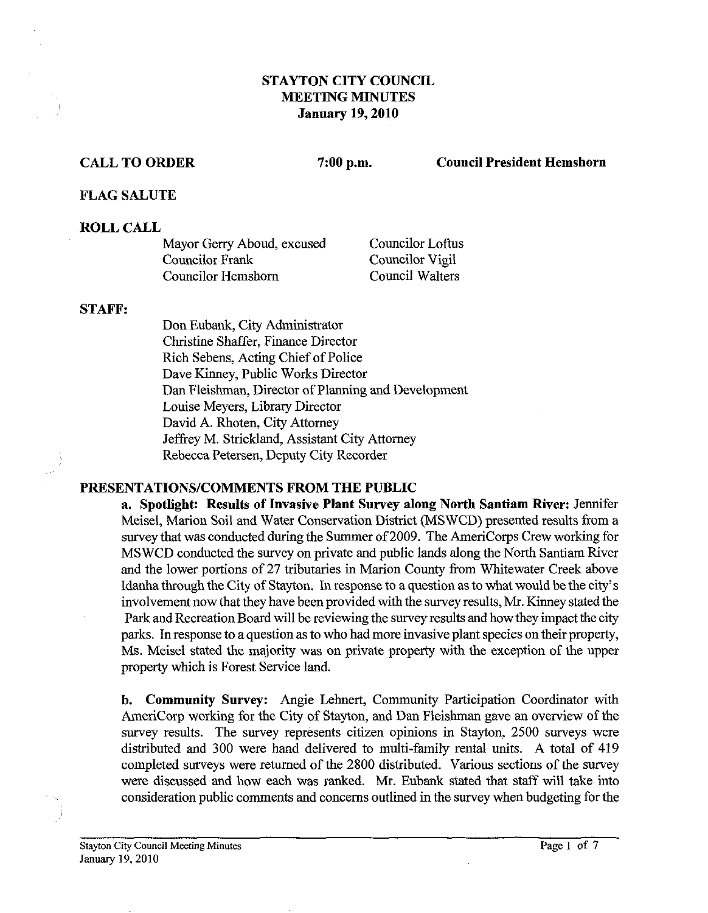## **STAYTON CITY COUNCIL MEETING MINUTES January 19,2010**

#### **CALL TO ORDER 7:00 p.m. Council President Hemshorn**

### **FLAG SALUTE**

## **ROLL CALL**

| Mayor Gerry Aboud, excused | <b>Councilor Loftus</b> |
|----------------------------|-------------------------|
| Councilor Frank            | Councilor Vigil         |
| <b>Councilor Hemshorn</b>  | Council Walters         |

#### **STAFF:**

Don Eubank, City Administrator Christine Shaffer, Finance Director Rich Sebens, Acting Chief of Police Dave Kinney, Public Works Director Dan Fleishman, Director of Planning and Development Louise Meyers, Library Director David A. Rhoten, City Attorney Jeffrey M. Strickland, Assistant City Attorney Rebecca Petersen, Deputy City Recorder

## **PRF,SENTATIONS/COMMENTS FROM THE PUBLIC**

**a. Spotlight: Results of Invasive Plant Survey along North Santiam River:** Jennifer Meisel, Marion Soil and Water Conservation District (MSWCD) presented results from a survey that was conducted during the Summer of 2009. The AmeriCorps Crew working for MSWCD conducted the survey on private and public lands along the North Santiam River and the lower portions of 27 tributaries in Marion County from Whitewater Creek above Idanha through the City of Stayton. In response to a question as to what would be the city's involvement now that they have been provided with the survey results, Mr. Kinney stated the Park and Recreation Board will be reviewing the survey results and how they impact the city parks. In response to a question **as** to who had more invasive plant species on their property, Ms. Meisel stated the majority was on private property with the exception of the upper property which is Forest Sewice land.

**b. Community Survey:** Angie Lehnert, Community Participation Coordinator with AmeriCorp working for the City of Stayton, and Dan Fleishman gave an overview of the survey results. The survey represents citizen opinions in Stayton, 2500 surveys were distributed and 300 were hand delivered to multi-family rental units. A total of 419 completed surveys were returned of the 2800 distributed. Various sections of the survey were discussed and how each was ranked. Mr. Eubank stated that staff will take into consideration public comments and concerns outlined in the survey when budgeting for the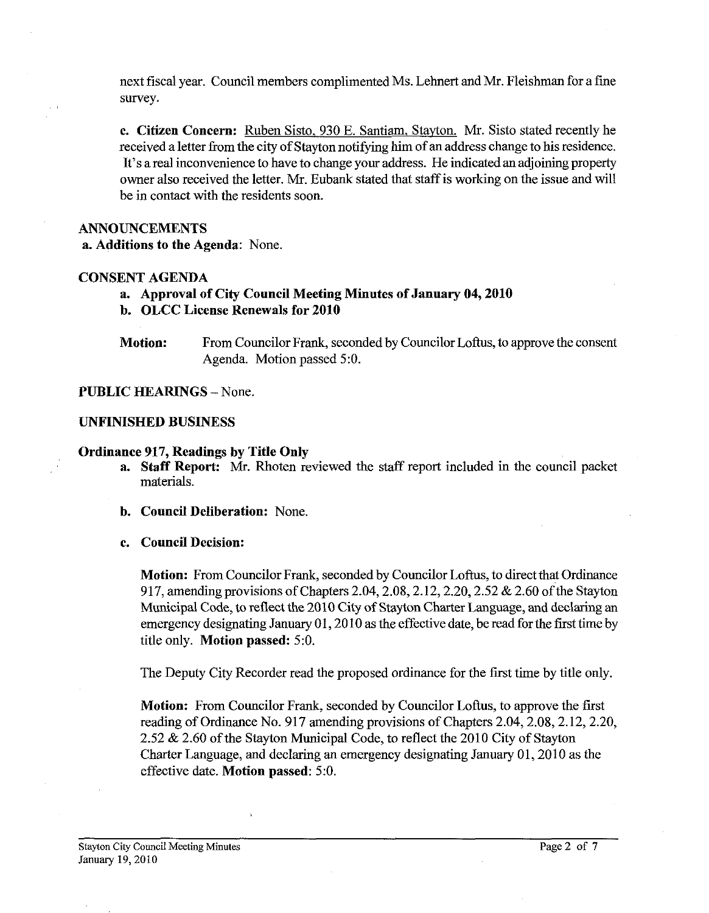next fiscal year. Council members complimented Ms. Lehnert and Mr. Fleishman for a fine survey.

**c. Citizen Concern:** Ruben Sisto. **930** E. Santiam, Stayton. Mr. Sisto stated recently he received a letter fiom the city of Stayton notifying him of an address change to his residence. It's a real inconvenience to have to change your address. He indicated an adjoining property owner also received the letter. Mr. Eubank stated that staff is working on the issue and will be in contact with the residents soon.

## **ANNOUNCEMENTS**

**a. Additions to the Agenda:** None.

## **CONSENT AGENDA**

## **a. Approval of City Council Meeting Minutes of January 04,2010**

- **b. OLCC License Renewals for 2010**
- **Motion:** From Councilor Frank, seconded by Councilor Loftus, to approve the consent Agenda. Motion passed **5:O.**

#### **PUBLIC HEARINGS - None.**

#### **UNFINISHED BUSINESS**

### **Ordinance 917, Readings by Title Only**

- **a. Staff Report:** Mr. Rhoten reviewed the staff report included in the council packet materials.
- **b. Council Deliberation:** None.

#### **c. Council Decision:**

**Motion:** From Councilor Frank, seconded by Councilor Loftus, to direct that Ordinance 917, amending provisions of Chapters 2.04,2.08,2.12,2.20,2.52 & **2.60** of the Stayton Municipal Code, to reflect the **2010** City of Stayton Charter Language, and declaring an emergency designating January **01,20 10** as the effective date, be read for the first time by title only. **Motion passed: 5:O.** 

The Deputy City Recorder read the proposed ordinance for the frst time by title only.

**Motion:** From Councilor Frank, seconded by Councilor Loftus, to approve the first reading of Ordinance No. **917** amending provisions of Chapters **2.04,2.08,2.12,2.20, 2.52** & **2.60** of the Stayton Municipal Code, to reflect the **2010** City of Stayton Charter Language, and declaring an emergency designating January **01,201 0** as the effective date. **Motion passed: 5:O.**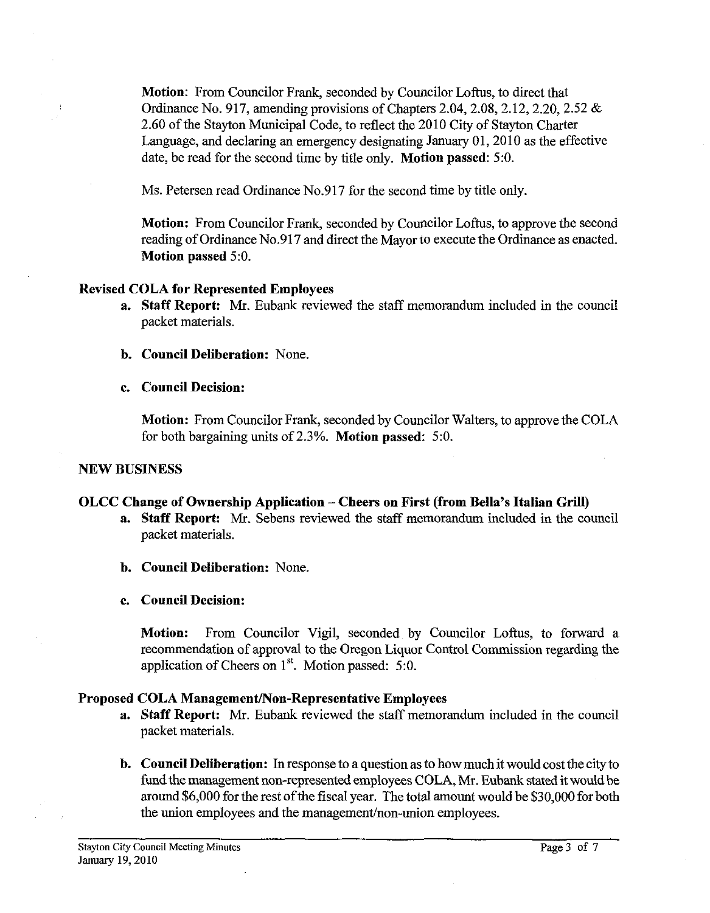**Motion:** From Councilor Frank, seconded by Councilor Loftus, to direct that Ordinance No. 917, amending provisions of Chapters 2.04, 2.08, 2.12, 2.20, 2.52  $\&$ 2.60 of the Stayton Municipal Code, to reflect the 2010 City of Stayton Charter Language, and declaring an emergency designating January 01,2010 as the effective date, be read for the second time by title only. **Motion passed:** 5:O.

Ms. Petersen read Ordinance No.917 for the second time by title only.

**Motion:** From Councilor Frank, seconded by Councilor Loftus, to approve the second reading of Ordinance No.917 and direct the Mayor to execute the Ordinance as enacted. **Motion passed** 5:O.

## **Revised COLA for Represented Employees**

- **a. Staff Report: Mr.** Eubank reviewed the staff memorandum included in the council packet materials.
- **b. Council Deliberation:** None.
- **c. Council Decision:**

**Motion:** From Councilor Frank, seconded by Councilor Walters, to approve the COLA for both bargaining units of 2.3%. **Motion passed:** 5:O.

# **NEW BUSINESS**

## **OLCC Change of Ownership Application** - **Cheers on First (from Bella's Italian Grill)**

- **a. Staff Report:** Mr. Sebens reviewed the staff memorandum included in the council packet materials.
- **b. Council Deliberation:** None.
- **c. Council Decision:**

Motion: From Councilor Vigil, seconded by Councilor Loftus, to forward a recommendation of approval to the Oregon Liquor Control Commission regarding the application of Cheers on  $1<sup>st</sup>$ . Motion passed: 5:0.

# **Proposed COLA Management/Non-Representative Employees**

- **a. Staff Report: Mr.** Eubank reviewed the staff memorandum included in the council packet materials.
- **b. Council Deliberation: In** response to a question as to how much it would cost the city to fund the management non-represented employees COLA, Mr. Eubank stated it would be around \$6,000 for the rest of the fiscal year. The total amount would be \$30,000 for both the union employees and the management/non-union employees.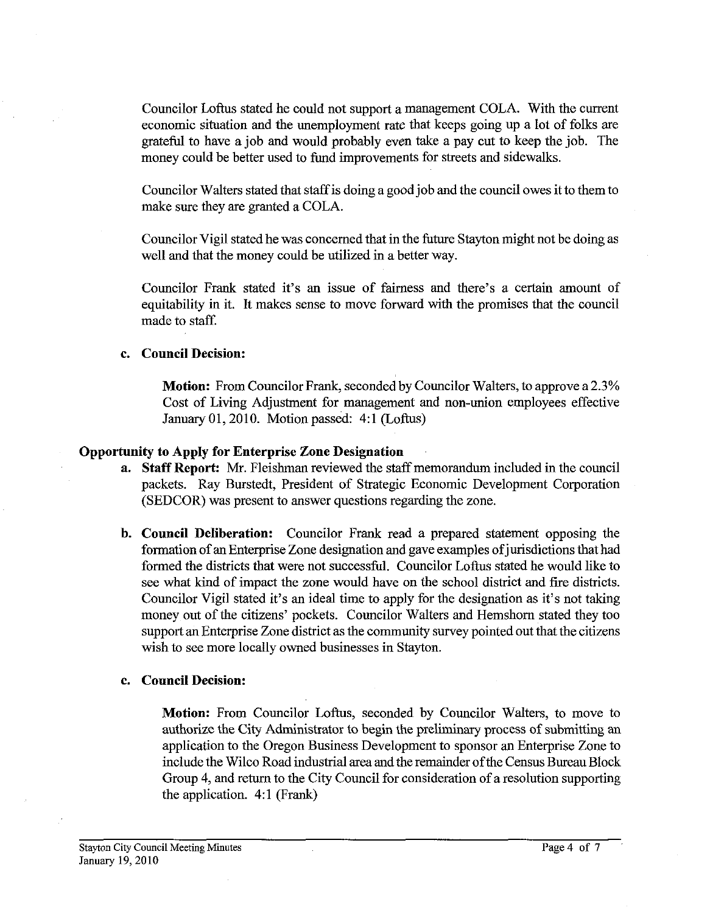Councilor Loftus stated he could not support a management COLA. With the current economic situation and the unemployment rate that keeps going up a lot of folks are grateful to have a job and would probably even take a pay cut to keep the job. The money could be better used to fund improvements for streets and sidewalks.

Councilor Walters stated that staff is doing a good job and the council owes it to them to make sure they are granted a COLA.

Councilor Vigil stated he was concerned that in the future Stayton might not be doing as well and that the money could be utilized in a better way.

Councilor Frank stated it's an issue of fairness and there's a certain amount of equitability in it. It makes sense to move forward with the promises that the council made to staff.

#### **c. Council Decision:**

**Motion:** From Councilor Frank, seconded by Councilor Walters, to approve a 2.3% Cost of Living Adjustment for management and non-union employees effective January 01,2010. Motion passed: 4:l (Loftus)

#### **Opportunity to Apply for Enterprise Zone Designation**

- **a. Staff Report: Mr.** Fleishman reviewed the staff memorandum included in the council packets. Ray Burstedt, President of Strategic Economic Development Corporation (SEDCOR) was present to answer questions regarding the zone.
- **b. Council Deliberation:** Councilor Frank read a prepared statement opposing the formation of an Enterprise Zone designation and gave examples of jurisdictions that had formed the districts that were not successful. Councilor Loftus stated he would like to see what kind of impact the zone would have on the school district and fire districts. Councilor Vigil stated it's an ideal time to apply for the designation as it's not taking money out of the citizens' pockets. Councilor Walters and Hemshom stated they too support an Enterprise Zone district as the community survey pointed out that the citizens wish to see more locally owned businesses in Stayton.

#### **c. Council Decision:**

**Motion:** From Councilor Loftus, seconded by Councilor Walters, to move to authorize the City Administrator to begin the preliminary process of submitting an application to the Oregon Business Development to sponsor an Enterprise Zone to include the Wilco Road industrial area and the remainder of the Census Bureau Block Group 4, and return to the City Council for consideration of a resolution supporting the application. 4:l (Frank)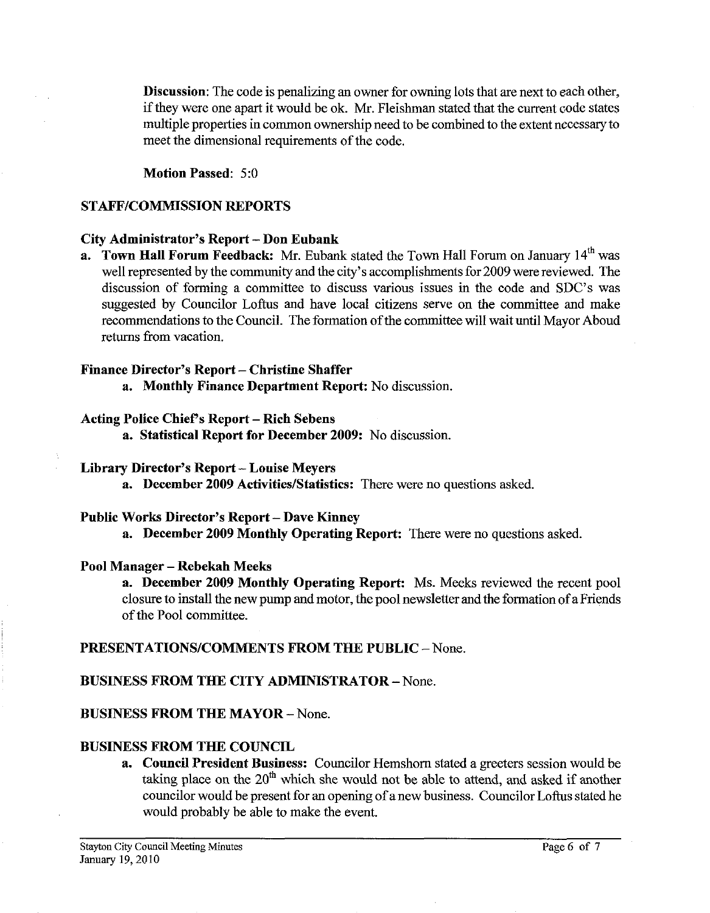Discussion: The code is penalizing an owner for owning lots that are next to each other, if they were one apart it would be ok. Mr. Fleishman stated that the current code states multiple properties in common ownership need to be combined to the extent necessary to meet the dimensional requirements of the code.

Motion Passed: 5:O

## STAFF/COMMISSION REPORTS

## City Administrator's Report - Don Eubank

a. Town Hall Forum Feedback: Mr. Eubank stated the Town Hall Forum on January 14<sup>th</sup> was well represented by the community and the city's accomplishments for 2009 were reviewed. The discussion of forming a committee to discuss various issues in the code and SDC's was suggested by Councilor Loftus and have local citizens serve on the committee and make recommendations to the Council. The formation of the committee will wait until Mayor Aboud returns fiom vacation.

## Finance Director's Report - Christine Shaffer

a. Monthly Finance Department Report: No discussion.

## Acting Police Chief's Report - Rich Sebens

a. Statistical Report for December 2009: No discussion.

## Library Director's Report - Louise Meyers

a. December 2009 Activities/Statistics: There were no questions asked.

## Public Works Director's Report - Dave Kinney

a. December 2009 Monthly Operating Report: There were no questions asked.

# Pool Manager – Rebekah Meeks

a. December 2009 Monthly Operating Report: Ms. Meeks reviewed the recent pool closure to install the new pump and motor, the pool newsletter and the formation of a Friends of the Pool committee.

# PRESENTATIONS/COMMENTS FROM THE PUBLIC - None.

# BUSINESS FROM THE CITY ADMINISTRATOR - None.

# BUSINESS FROM THE MAYOR - None.

# BUSINESS FROM THE COUNCIL

a. Council President Business: Councilor Hemshom stated a greeters session would be taking place on the 20" which she would not be able to attend, and asked if another councilor would be present for an opening of anew business. Councilor Loftus stated he would probably be able to make the event.